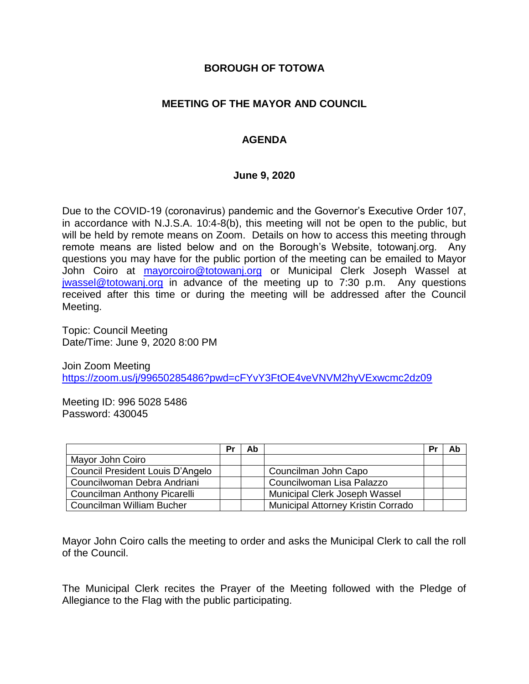### **BOROUGH OF TOTOWA**

# **MEETING OF THE MAYOR AND COUNCIL**

# **AGENDA**

#### **June 9, 2020**

Due to the COVID-19 (coronavirus) pandemic and the Governor's Executive Order 107, in accordance with N.J.S.A. 10:4-8(b), this meeting will not be open to the public, but will be held by remote means on Zoom. Details on how to access this meeting through remote means are listed below and on the Borough's Website, totowanj.org. Any questions you may have for the public portion of the meeting can be emailed to Mayor John Coiro at [mayorcoiro@totowanj.org](mailto:mayorcoiro@totowanj.org) or Municipal Clerk Joseph Wassel at [jwassel@totowanj.org](mailto:jwassel@totowanj.org) in advance of the meeting up to 7:30 p.m. Any questions received after this time or during the meeting will be addressed after the Council Meeting.

Topic: Council Meeting Date/Time: June 9, 2020 8:00 PM

Join Zoom Meeting <https://zoom.us/j/99650285486?pwd=cFYvY3FtOE4veVNVM2hyVExwcmc2dz09>

Meeting ID: 996 5028 5486 Password: 430045

|                                     | Pr | Ab |                                           | Pr | Ab |
|-------------------------------------|----|----|-------------------------------------------|----|----|
| Mayor John Coiro                    |    |    |                                           |    |    |
| Council President Louis D'Angelo    |    |    | Councilman John Capo                      |    |    |
| Councilwoman Debra Andriani         |    |    | Councilwoman Lisa Palazzo                 |    |    |
| <b>Councilman Anthony Picarelli</b> |    |    | Municipal Clerk Joseph Wassel             |    |    |
| Councilman William Bucher           |    |    | <b>Municipal Attorney Kristin Corrado</b> |    |    |

Mayor John Coiro calls the meeting to order and asks the Municipal Clerk to call the roll of the Council.

The Municipal Clerk recites the Prayer of the Meeting followed with the Pledge of Allegiance to the Flag with the public participating.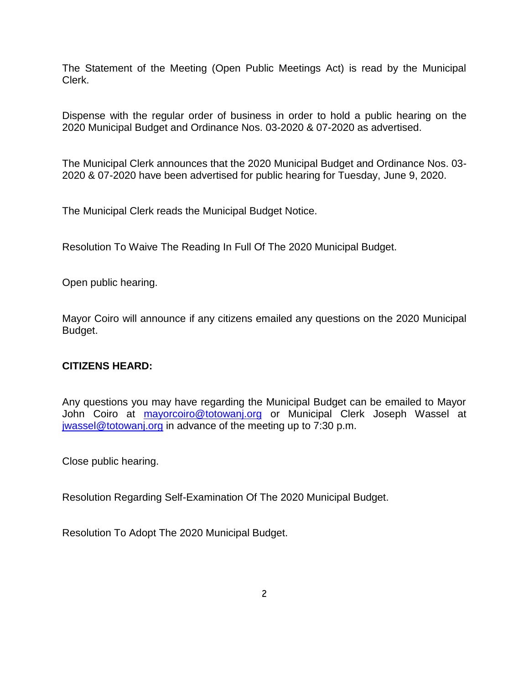The Statement of the Meeting (Open Public Meetings Act) is read by the Municipal Clerk.

Dispense with the regular order of business in order to hold a public hearing on the 2020 Municipal Budget and Ordinance Nos. 03-2020 & 07-2020 as advertised.

The Municipal Clerk announces that the 2020 Municipal Budget and Ordinance Nos. 03- 2020 & 07-2020 have been advertised for public hearing for Tuesday, June 9, 2020.

The Municipal Clerk reads the Municipal Budget Notice.

Resolution To Waive The Reading In Full Of The 2020 Municipal Budget.

Open public hearing.

Mayor Coiro will announce if any citizens emailed any questions on the 2020 Municipal Budget.

### **CITIZENS HEARD:**

Any questions you may have regarding the Municipal Budget can be emailed to Mayor John Coiro at mayorcoiro@totowani.org or Municipal Clerk Joseph Wassel at [jwassel@totowanj.org](mailto:jwassel@totowanj.org) in advance of the meeting up to 7:30 p.m.

Close public hearing.

Resolution Regarding Self-Examination Of The 2020 Municipal Budget.

Resolution To Adopt The 2020 Municipal Budget.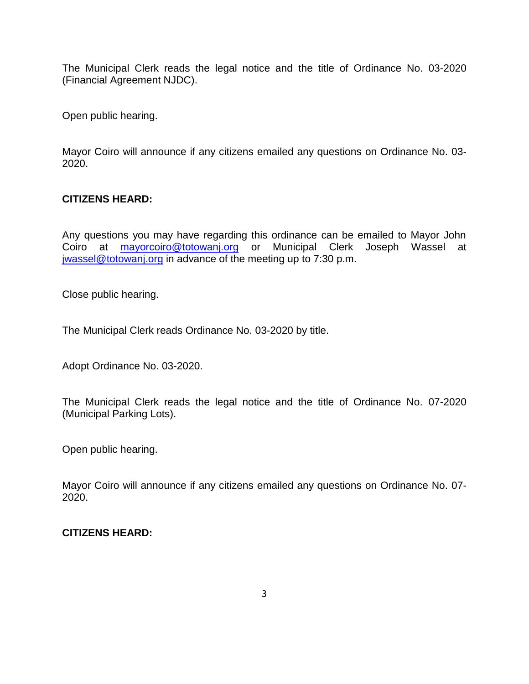The Municipal Clerk reads the legal notice and the title of Ordinance No. 03-2020 (Financial Agreement NJDC).

Open public hearing.

Mayor Coiro will announce if any citizens emailed any questions on Ordinance No. 03- 2020.

# **CITIZENS HEARD:**

Any questions you may have regarding this ordinance can be emailed to Mayor John Coiro at [mayorcoiro@totowanj.org](mailto:mayorcoiro@totowanj.org) or Municipal Clerk Joseph Wassel at [jwassel@totowanj.org](mailto:jwassel@totowanj.org) in advance of the meeting up to 7:30 p.m.

Close public hearing.

The Municipal Clerk reads Ordinance No. 03-2020 by title.

Adopt Ordinance No. 03-2020.

The Municipal Clerk reads the legal notice and the title of Ordinance No. 07-2020 (Municipal Parking Lots).

Open public hearing.

Mayor Coiro will announce if any citizens emailed any questions on Ordinance No. 07- 2020.

### **CITIZENS HEARD:**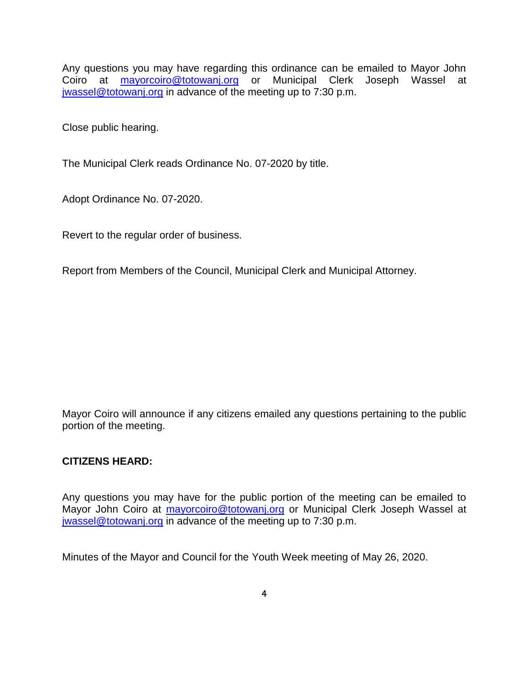Any questions you may have regarding this ordinance can be emailed to Mayor John Coiro at **[mayorcoiro@totowanj.org](mailto:mayorcoiro@totowanj.org)** or Municipal Clerk Joseph Wassel at [jwassel@totowanj.org](mailto:jwassel@totowanj.org) in advance of the meeting up to 7:30 p.m.

Close public hearing.

The Municipal Clerk reads Ordinance No. 07-2020 by title.

Adopt Ordinance No. 07-2020.

Revert to the regular order of business.

Report from Members of the Council, Municipal Clerk and Municipal Attorney.

Mayor Coiro will announce if any citizens emailed any questions pertaining to the public portion of the meeting.

### **CITIZENS HEARD:**

Any questions you may have for the public portion of the meeting can be emailed to Mayor John Coiro at [mayorcoiro@totowanj.org](mailto:mayorcoiro@totowanj.org) or Municipal Clerk Joseph Wassel at [jwassel@totowanj.org](mailto:jwassel@totowanj.org) in advance of the meeting up to 7:30 p.m.

Minutes of the Mayor and Council for the Youth Week meeting of May 26, 2020.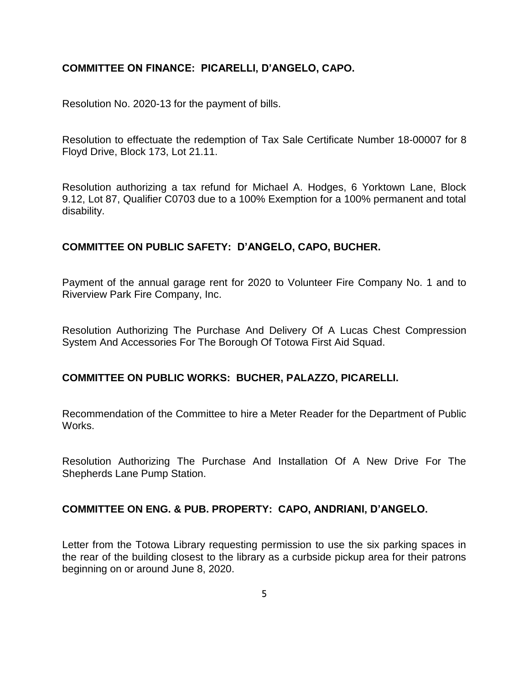### **COMMITTEE ON FINANCE: PICARELLI, D'ANGELO, CAPO.**

Resolution No. 2020-13 for the payment of bills.

Resolution to effectuate the redemption of Tax Sale Certificate Number 18-00007 for 8 Floyd Drive, Block 173, Lot 21.11.

Resolution authorizing a tax refund for Michael A. Hodges, 6 Yorktown Lane, Block 9.12, Lot 87, Qualifier C0703 due to a 100% Exemption for a 100% permanent and total disability.

# **COMMITTEE ON PUBLIC SAFETY: D'ANGELO, CAPO, BUCHER.**

Payment of the annual garage rent for 2020 to Volunteer Fire Company No. 1 and to Riverview Park Fire Company, Inc.

Resolution Authorizing The Purchase And Delivery Of A Lucas Chest Compression System And Accessories For The Borough Of Totowa First Aid Squad.

### **COMMITTEE ON PUBLIC WORKS: BUCHER, PALAZZO, PICARELLI.**

Recommendation of the Committee to hire a Meter Reader for the Department of Public Works.

Resolution Authorizing The Purchase And Installation Of A New Drive For The Shepherds Lane Pump Station.

### **COMMITTEE ON ENG. & PUB. PROPERTY: CAPO, ANDRIANI, D'ANGELO.**

Letter from the Totowa Library requesting permission to use the six parking spaces in the rear of the building closest to the library as a curbside pickup area for their patrons beginning on or around June 8, 2020.